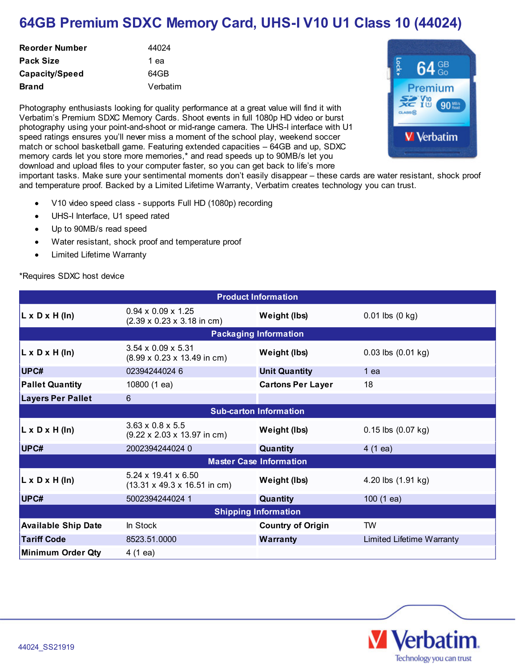## **64GB Premium SDXC Memory Card, UHS-I V10 U1 Class 10 (44024)**

| <b>Reorder Number</b> | 44024    |
|-----------------------|----------|
| Pack Size             | 1 ea     |
| Capacity/Speed        | 64GB     |
| <b>Brand</b>          | Verbatim |

Photography enthusiasts looking for quality performance at a great value will find it with Verbatim's Premium SDXC Memory Cards. Shoot events in full 1080p HD video or burst photography using your point-and-shoot or mid-range camera. The UHS-I interface with U1 speed ratings ensures you'll never miss a moment of the school play, weekend soccer match or school basketball game. Featuring extended capacities - 64GB and up, SDXC memory cards let you store more memories,\* and read speeds up to 90MB/s let you download and upload files to your computer faster, so you can get back to life's more



important tasks. Make sure your sentimental moments don't easily disappear – these cards are water resistant, shock proof and temperature proof. Backed by a Limited Lifetime Warranty, Verbatim creates technology you can trust.

- V10 video speed class supports Full HD (1080p) recording  $\bullet$
- UHS-I Interface, U1 speed rated
- Up to 90MB/s read speed
- Water resistant, shock proof and temperature proof
- Limited Lifetime Warranty  $\bullet$

\*Requires SDXC host device

| <b>Product Information</b>     |                                                                                     |                          |                             |
|--------------------------------|-------------------------------------------------------------------------------------|--------------------------|-----------------------------|
| $L \times D \times H$ (In)     | $0.94 \times 0.09 \times 1.25$<br>$(2.39 \times 0.23 \times 3.18 \text{ in cm})$    | Weight (lbs)             | $0.01$ lbs $(0 \text{ kg})$ |
| <b>Packaging Information</b>   |                                                                                     |                          |                             |
| $L \times D \times H$ (In)     | $3.54 \times 0.09 \times 5.31$<br>$(8.99 \times 0.23 \times 13.49 \text{ in cm})$   | Weight (lbs)             | $0.03$ lbs $(0.01$ kg)      |
| UPC#                           | 02394244024 6                                                                       | <b>Unit Quantity</b>     | 1 ea                        |
| <b>Pallet Quantity</b>         | 10800 (1 ea)                                                                        | <b>Cartons Per Layer</b> | 18                          |
| <b>Layers Per Pallet</b>       | 6                                                                                   |                          |                             |
| <b>Sub-carton Information</b>  |                                                                                     |                          |                             |
| $L \times D \times H$ (In)     | $3.63 \times 0.8 \times 5.5$<br>$(9.22 \times 2.03 \times 13.97 \text{ in cm})$     | Weight (lbs)             | $0.15$ lbs $(0.07$ kg)      |
| UPC#                           | 2002394244024 0                                                                     | Quantity                 | $4(1 \text{ ea})$           |
| <b>Master Case Information</b> |                                                                                     |                          |                             |
| $L \times D \times H$ (In)     | $5.24 \times 19.41 \times 6.50$<br>$(13.31 \times 49.3 \times 16.51 \text{ in cm})$ | Weight (lbs)             | 4.20 lbs (1.91 kg)          |
| UPC#                           | 5002394244024 1                                                                     | Quantity                 | 100(1 ea)                   |
| <b>Shipping Information</b>    |                                                                                     |                          |                             |
| <b>Available Ship Date</b>     | In Stock                                                                            | <b>Country of Origin</b> | TW                          |
| <b>Tariff Code</b>             | 8523.51.0000                                                                        | <b>Warranty</b>          | Limited Lifetime Warranty   |
| <b>Minimum Order Qty</b>       | 4 (1 ea)                                                                            |                          |                             |